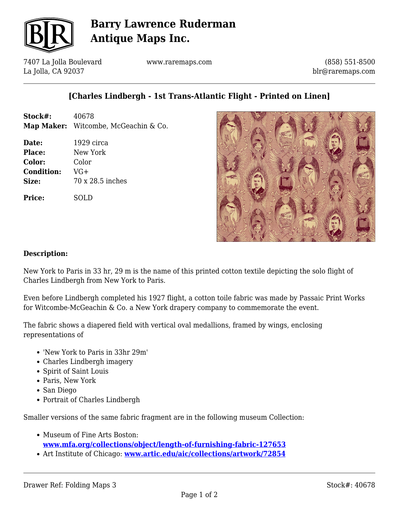

# **Barry Lawrence Ruderman Antique Maps Inc.**

7407 La Jolla Boulevard La Jolla, CA 92037

www.raremaps.com

(858) 551-8500 blr@raremaps.com

### **[Charles Lindbergh - 1st Trans-Atlantic Flight - Printed on Linen]**

| Stock#: | 40678                                |
|---------|--------------------------------------|
|         | Map Maker: Witcombe, McGeachin & Co. |

**Date:** 1929 circa **Place:** New York **Color:** Color **Condition:** VG+ **Size:** 70 x 28.5 inches

**Price:** SOLD



#### **Description:**

New York to Paris in 33 hr, 29 m is the name of this printed cotton textile depicting the solo flight of Charles Lindbergh from New York to Paris.

Even before Lindbergh completed his 1927 flight, a cotton toile fabric was made by Passaic Print Works for Witcombe-McGeachin & Co. a New York drapery company to commemorate the event.

The fabric shows a diapered field with vertical oval medallions, framed by wings, enclosing representations of

- 'New York to Paris in 33hr 29m'
- Charles Lindbergh imagery
- Spirit of Saint Louis
- Paris, New York
- San Diego
- Portrait of Charles Lindbergh

Smaller versions of the same fabric fragment are in the following museum Collection:

- Museum of Fine Arts Boston: **[www.mfa.org/collections/object/length-of-furnishing-fabric-127653](http://www.mfa.org/collections/object/length-of-furnishing-fabric-127653)**
- Art Institute of Chicago: **[www.artic.edu/aic/collections/artwork/72854](http://www.artic.edu/aic/collections/artwork/72854)**